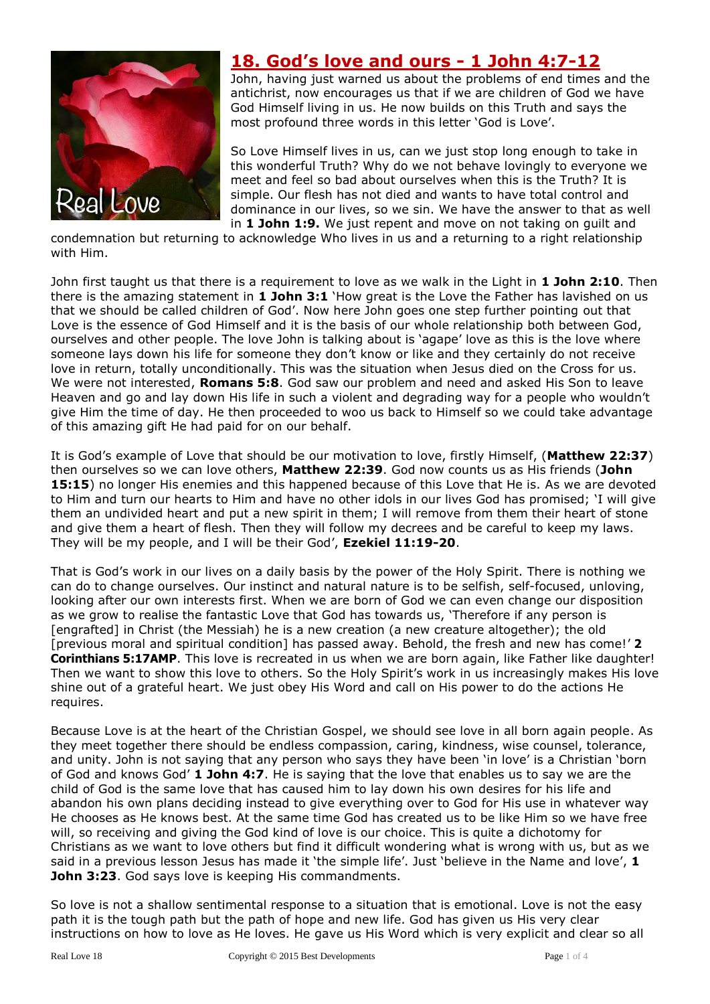

## **18. God's love and ours - 1 John 4:7-12**

John, having just warned us about the problems of end times and the antichrist, now encourages us that if we are children of God we have God Himself living in us. He now builds on this Truth and says the most profound three words in this letter 'God is Love'.

So Love Himself lives in us, can we just stop long enough to take in this wonderful Truth? Why do we not behave lovingly to everyone we meet and feel so bad about ourselves when this is the Truth? It is simple. Our flesh has not died and wants to have total control and dominance in our lives, so we sin. We have the answer to that as well in **1 John 1:9.** We just repent and move on not taking on guilt and

condemnation but returning to acknowledge Who lives in us and a returning to a right relationship with Him.

John first taught us that there is a requirement to love as we walk in the Light in **1 John 2:10**. Then there is the amazing statement in **1 John 3:1** 'How great is the Love the Father has lavished on us that we should be called children of God'. Now here John goes one step further pointing out that Love is the essence of God Himself and it is the basis of our whole relationship both between God, ourselves and other people. The love John is talking about is 'agape' love as this is the love where someone lays down his life for someone they don't know or like and they certainly do not receive love in return, totally unconditionally. This was the situation when Jesus died on the Cross for us. We were not interested, **Romans 5:8**. God saw our problem and need and asked His Son to leave Heaven and go and lay down His life in such a violent and degrading way for a people who wouldn't give Him the time of day. He then proceeded to woo us back to Himself so we could take advantage of this amazing gift He had paid for on our behalf.

It is God's example of Love that should be our motivation to love, firstly Himself, (**Matthew 22:37**) then ourselves so we can love others, **Matthew 22:39**. God now counts us as His friends (**John 15:15**) no longer His enemies and this happened because of this Love that He is. As we are devoted to Him and turn our hearts to Him and have no other idols in our lives God has promised; 'I will give them an undivided heart and put a new spirit in them; I will remove from them their heart of stone and give them a heart of flesh. Then they will follow my decrees and be careful to keep my laws. They will be my people, and I will be their God', **Ezekiel 11:19-20**.

That is God's work in our lives on a daily basis by the power of the Holy Spirit. There is nothing we can do to change ourselves. Our instinct and natural nature is to be selfish, self-focused, unloving, looking after our own interests first. When we are born of God we can even change our disposition as we grow to realise the fantastic Love that God has towards us, 'Therefore if any person is [engrafted] in Christ (the Messiah) he is a new creation (a new creature altogether); the old [previous moral and spiritual condition] has passed away. Behold, the fresh and new has come!' **2 Corinthians 5:17AMP**. This love is recreated in us when we are born again, like Father like daughter! Then we want to show this love to others. So the Holy Spirit's work in us increasingly makes His love shine out of a grateful heart. We just obey His Word and call on His power to do the actions He requires.

Because Love is at the heart of the Christian Gospel, we should see love in all born again people. As they meet together there should be endless compassion, caring, kindness, wise counsel, tolerance, and unity. John is not saying that any person who says they have been 'in love' is a Christian 'born of God and knows God' **1 John 4:7**. He is saying that the love that enables us to say we are the child of God is the same love that has caused him to lay down his own desires for his life and abandon his own plans deciding instead to give everything over to God for His use in whatever way He chooses as He knows best. At the same time God has created us to be like Him so we have free will, so receiving and giving the God kind of love is our choice. This is quite a dichotomy for Christians as we want to love others but find it difficult wondering what is wrong with us, but as we said in a previous lesson Jesus has made it 'the simple life'. Just 'believe in the Name and love', **1 John 3:23**. God says love is keeping His commandments.

So love is not a shallow sentimental response to a situation that is emotional. Love is not the easy path it is the tough path but the path of hope and new life. God has given us His very clear instructions on how to love as He loves. He gave us His Word which is very explicit and clear so all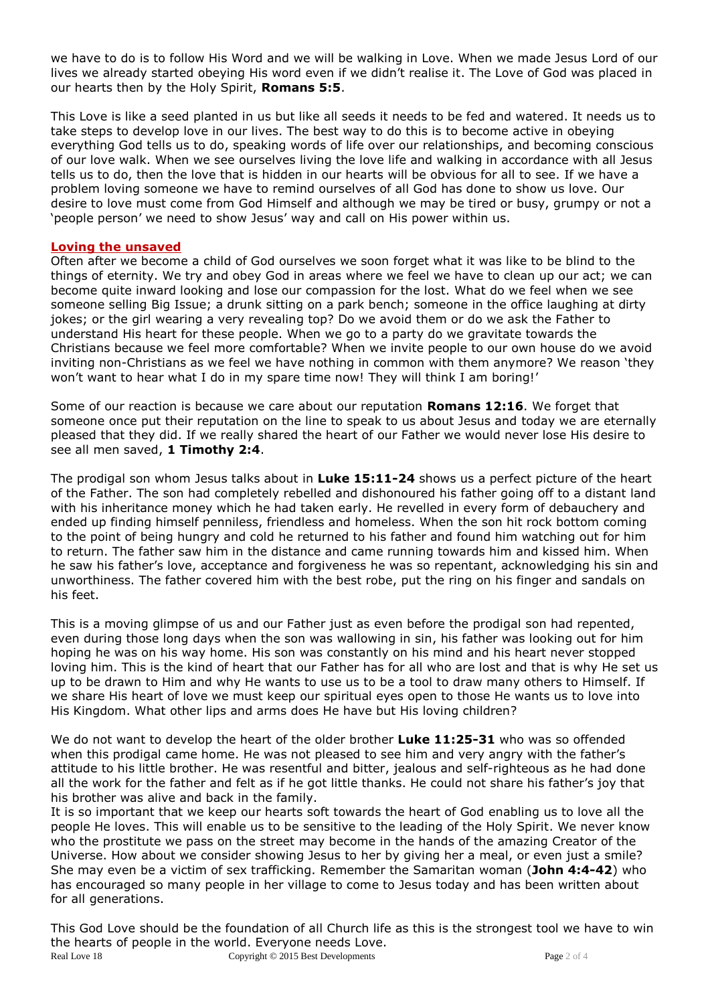we have to do is to follow His Word and we will be walking in Love. When we made Jesus Lord of our lives we already started obeying His word even if we didn't realise it. The Love of God was placed in our hearts then by the Holy Spirit, **Romans 5:5**.

This Love is like a seed planted in us but like all seeds it needs to be fed and watered. It needs us to take steps to develop love in our lives. The best way to do this is to become active in obeying everything God tells us to do, speaking words of life over our relationships, and becoming conscious of our love walk. When we see ourselves living the love life and walking in accordance with all Jesus tells us to do, then the love that is hidden in our hearts will be obvious for all to see. If we have a problem loving someone we have to remind ourselves of all God has done to show us love. Our desire to love must come from God Himself and although we may be tired or busy, grumpy or not a 'people person' we need to show Jesus' way and call on His power within us.

## **Loving the unsaved**

Often after we become a child of God ourselves we soon forget what it was like to be blind to the things of eternity. We try and obey God in areas where we feel we have to clean up our act; we can become quite inward looking and lose our compassion for the lost. What do we feel when we see someone selling Big Issue; a drunk sitting on a park bench; someone in the office laughing at dirty jokes; or the girl wearing a very revealing top? Do we avoid them or do we ask the Father to understand His heart for these people. When we go to a party do we gravitate towards the Christians because we feel more comfortable? When we invite people to our own house do we avoid inviting non-Christians as we feel we have nothing in common with them anymore? We reason 'they won't want to hear what I do in my spare time now! They will think I am boring!'

Some of our reaction is because we care about our reputation **Romans 12:16**. We forget that someone once put their reputation on the line to speak to us about Jesus and today we are eternally pleased that they did. If we really shared the heart of our Father we would never lose His desire to see all men saved, **1 Timothy 2:4**.

The prodigal son whom Jesus talks about in **Luke 15:11-24** shows us a perfect picture of the heart of the Father. The son had completely rebelled and dishonoured his father going off to a distant land with his inheritance money which he had taken early. He revelled in every form of debauchery and ended up finding himself penniless, friendless and homeless. When the son hit rock bottom coming to the point of being hungry and cold he returned to his father and found him watching out for him to return. The father saw him in the distance and came running towards him and kissed him. When he saw his father's love, acceptance and forgiveness he was so repentant, acknowledging his sin and unworthiness. The father covered him with the best robe, put the ring on his finger and sandals on his feet.

This is a moving glimpse of us and our Father just as even before the prodigal son had repented, even during those long days when the son was wallowing in sin, his father was looking out for him hoping he was on his way home. His son was constantly on his mind and his heart never stopped loving him. This is the kind of heart that our Father has for all who are lost and that is why He set us up to be drawn to Him and why He wants to use us to be a tool to draw many others to Himself. If we share His heart of love we must keep our spiritual eyes open to those He wants us to love into His Kingdom. What other lips and arms does He have but His loving children?

We do not want to develop the heart of the older brother **Luke 11:25-31** who was so offended when this prodigal came home. He was not pleased to see him and very angry with the father's attitude to his little brother. He was resentful and bitter, jealous and self-righteous as he had done all the work for the father and felt as if he got little thanks. He could not share his father's joy that his brother was alive and back in the family.

It is so important that we keep our hearts soft towards the heart of God enabling us to love all the people He loves. This will enable us to be sensitive to the leading of the Holy Spirit. We never know who the prostitute we pass on the street may become in the hands of the amazing Creator of the Universe. How about we consider showing Jesus to her by giving her a meal, or even just a smile? She may even be a victim of sex trafficking. Remember the Samaritan woman (**John 4:4-42**) who has encouraged so many people in her village to come to Jesus today and has been written about for all generations.

Real Love 18 Copyright © 2015 Best Developments Page 2 of 4 This God Love should be the foundation of all Church life as this is the strongest tool we have to win the hearts of people in the world. Everyone needs Love.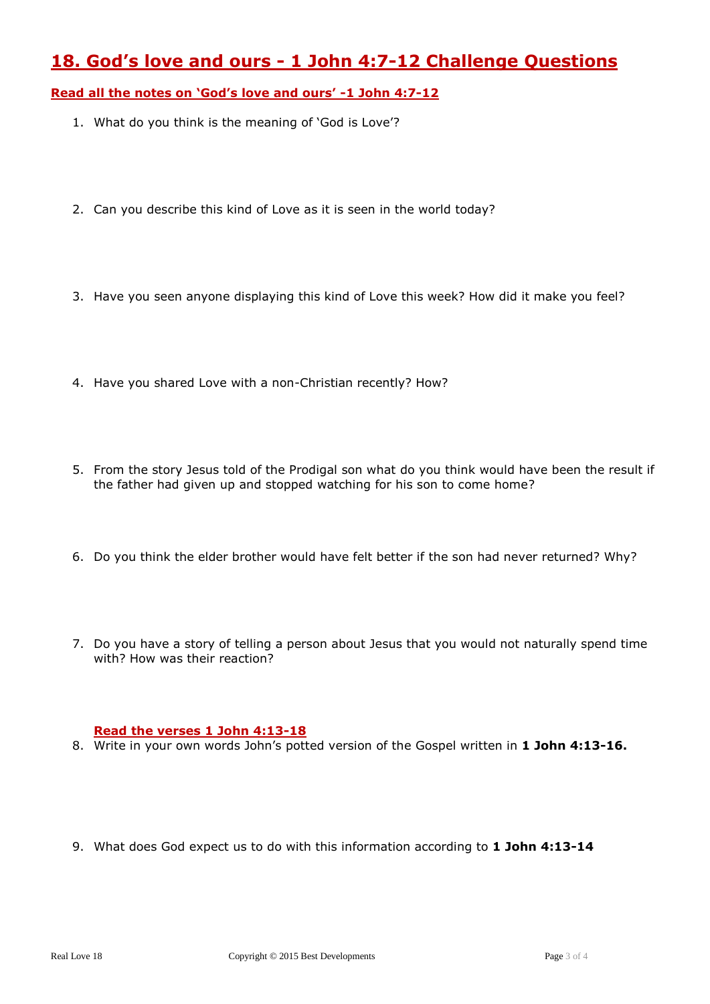## **18. God's love and ours - 1 John 4:7-12 Challenge Questions**

**Read all the notes on 'God's love and ours' -1 John 4:7-12**

- 1. What do you think is the meaning of 'God is Love'?
- 2. Can you describe this kind of Love as it is seen in the world today?
- 3. Have you seen anyone displaying this kind of Love this week? How did it make you feel?
- 4. Have you shared Love with a non-Christian recently? How?
- 5. From the story Jesus told of the Prodigal son what do you think would have been the result if the father had given up and stopped watching for his son to come home?
- 6. Do you think the elder brother would have felt better if the son had never returned? Why?
- 7. Do you have a story of telling a person about Jesus that you would not naturally spend time with? How was their reaction?

## **Read the verses 1 John 4:13-18**

- 8. Write in your own words John's potted version of the Gospel written in **1 John 4:13-16.**
- 9. What does God expect us to do with this information according to **1 John 4:13-14**